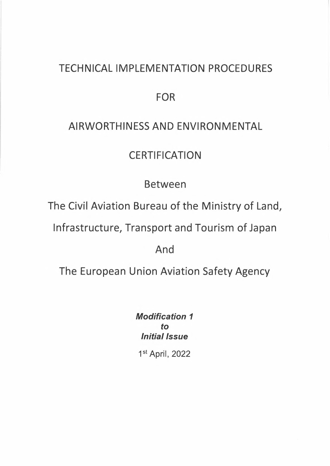# TECHNICAL IMPLEMENTATION PROCEDURES

FOR

### AIRWORTHINESS AND ENVIRONMENTAL

## **CERTIFICATION**

Between

The Civil Aviation Bureau of the Ministry of Land,

Infrastructure, Transport and Tourism of Japan

And

The European Union Aviation Safety Agency

*Modification <sup>1</sup> to Initial Issue*

1st April, 2022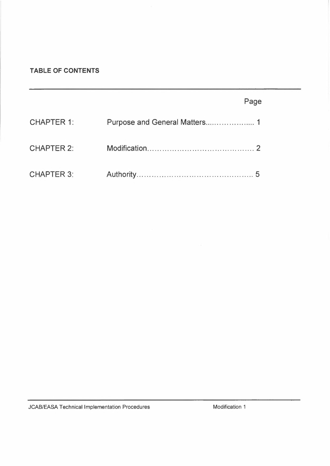#### **TABLE OF CONTENTS**

|                   | Page |
|-------------------|------|
| <b>CHAPTER 1:</b> |      |
| <b>CHAPTER 2:</b> |      |
| <b>CHAPTER 3:</b> |      |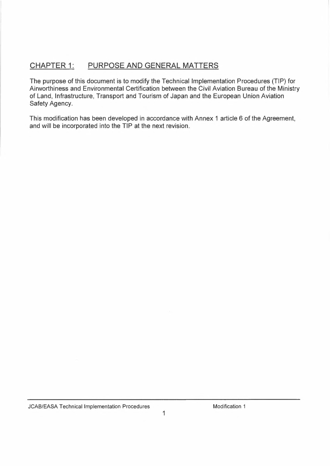### **CHAPTER 1: PURPOSE AND GENERAL MATTERS**

The purpose of this document is to modify the Technical Implementation Procedures (TIP) for Airworthiness and Environmental Certification between the Civil Aviation Bureau of the Ministry of Land, Infrastructure, Transport and Tourism of Japan and the European Union Aviation Safety Agency.

This modification has been developed in accordance with Annex <sup>1</sup> article 6 of the Agreement, and will be incorporated into the TIP at the next revision.

JCAB/EASA Technical Implementation Procedures

Modification <sup>1</sup>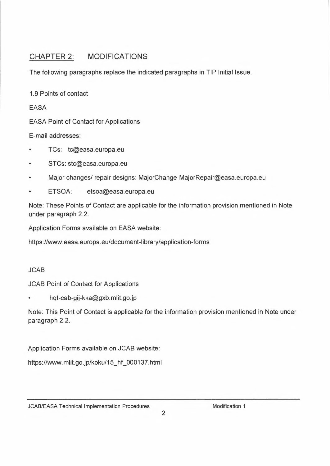### CHAPTER 2: MODIFICATIONS

The following paragraphs replace the indicated paragraphs in TIP Initial Issue.

1.9 Points of contact

EASA

EASA Point of Contact for Applications

E-mail addresses:

- TCs: tc@easa.europa.eu
- STCs: stc@easa.europa.eu
- Major changes/ repair designs: MajorChange-MajorRepair@easa.europa.eu
- ETSOA: etsoa@easa.europa.eu

Note: These Points of Contact are applicable for the information provision mentioned in Note under paragraph 2.2.

Application Forms available on EASA website:

https://www.easa.europa.eu/document-library/application-forms

#### JCAB

JCAB Point of Contact for Applications

• hqt-cab-gij-kka@gxb.mlit.go.jp

Note: This Point of Contact is applicable for the information provision mentioned in Note under paragraph 2.2.

Application Forms available on JCAB website:

https://www.mlit.go.jp/koku/15\_hf\_000137.html

JCAB/EASA Technical Implementation Procedures

Modification <sup>1</sup>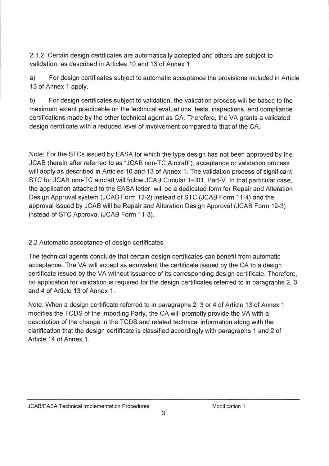2.1.2. Certain design certificates are automatically accepted and others are subject to validation, as described in Articles 10 and 13 of Annex 1:

a) For design certificates subject to automatic acceptance the provisions included in Article 13 of Annex <sup>1</sup> apply.

b) For design certificates subject to validation, the validation process will be based to the maximum extent practicable on the technical evaluations, tests, inspections, and compliance certifications made by the other technical agent as CA. Therefore, the VA grants <sup>a</sup> validated design certificate with a reduced level of involvement compared to that of the CA.

Note: For the STCs issued by EASA for which the type design has not been approved by the JCAB (herein after referred to as "JCAB non-TC Aircraft"), acceptance or validation process will apply as described in Articles 10 and 13 of Annex 1. The validation process of significant STC for JCAB non-TC aircraft will follow JCAB Circular 1-001, Part-V. In that particular case, the application attached to the EASA letter will be <sup>a</sup> dedicated form for Repair and Alteration Design Approval system (JCAB Form 12-2) instead of STC (JCAB Form 11-4) and the approval issued by JCAB will be Repair and Alteration Design Approval (JCAB Form 12-3) instead of STC Approval (JCAB Form 11-3).

#### 2.2 Automatic acceptance of design certificates

The technical agents conclude that certain design certificates can benefit from automatic acceptance. The VA will accept as equivalent the certificate issued by the CA to a design certificate issued by the VA without issuance of its corresponding design certificate. Therefore, no application for validation is required for the design certificates referred to in paragraphs 2, <sup>3</sup> and 4 of Article 13 of Annex 1.

Note: When <sup>a</sup> design certificate referred to in paragraphs 2, 3 or 4 of Article 13 of Annex <sup>1</sup> modifies the TCDS of the importing Party, the CA will promptly provide the VA with a description of the change in the TCDS and related technical information along with the clarification that the design certificate is classified accordingly with paragraphs <sup>1</sup> and <sup>2</sup> of Article 14 of Annex 1.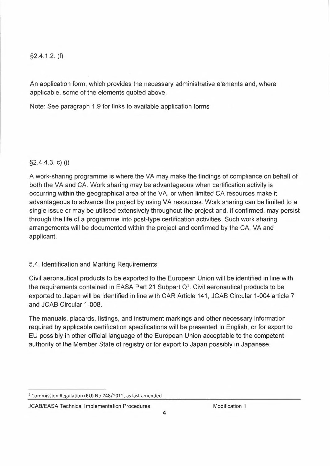#### §2.4.1.2. (f)

An application form, which provides the necessary administrative elements and, where applicable, some of the elements quoted above.

Note: See paragraph 1.9 for links to available application forms

#### §2.4.4.3. c) (i)

A work-sharing programme is where the VA may make the findings of compliance on behalf of both the VA and CA. Work sharing may be advantageous when certification activity is occurring within the geographical area of the VA, or when limited CA resources make it advantageous to advance the project by using VA resources. Work sharing can be limited to <sup>a</sup> single issue or may be utilised extensively throughout the project and, if confirmed, may persist through the life of <sup>a</sup> programme into post-type certification activities. Such work sharing arrangements will be documented within the project and confirmed by the CA, VA and applicant.

#### 5.4. Identification and Marking Requirements

Civil aeronautical products to be exported to the European Union will be identified in line with the requirements contained in EASA Part 21 Subpart  $Q<sup>1</sup>$ . Civil aeronautical products to be exported to Japan will be identified in line with CAR Article 141, JCAB Circular 1-004 article <sup>7</sup> and JCAB Circular 1-008.

The manuals, placards, listings, and instrument markings and other necessary information required by applicable certification specifications will be presented in English, or for export to EU possibly in other official language of the European Union acceptable to the competent authority of the Member State of registry or for export to Japan possibly in Japanese.

<sup>1</sup> Commission Regulation (EU) No 748/2012, as last amended.

JCAB/EASA Technical Implementation Procedures